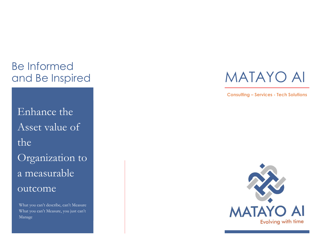## Be Informed and Be Inspired

Enhance the Asset value of the Organization to a measurable outcome

What you can't describe, can't Measure What you can't Measure, you just can't Manage

# MATAYO AI

**Consulting – Services - Tech Solutions**